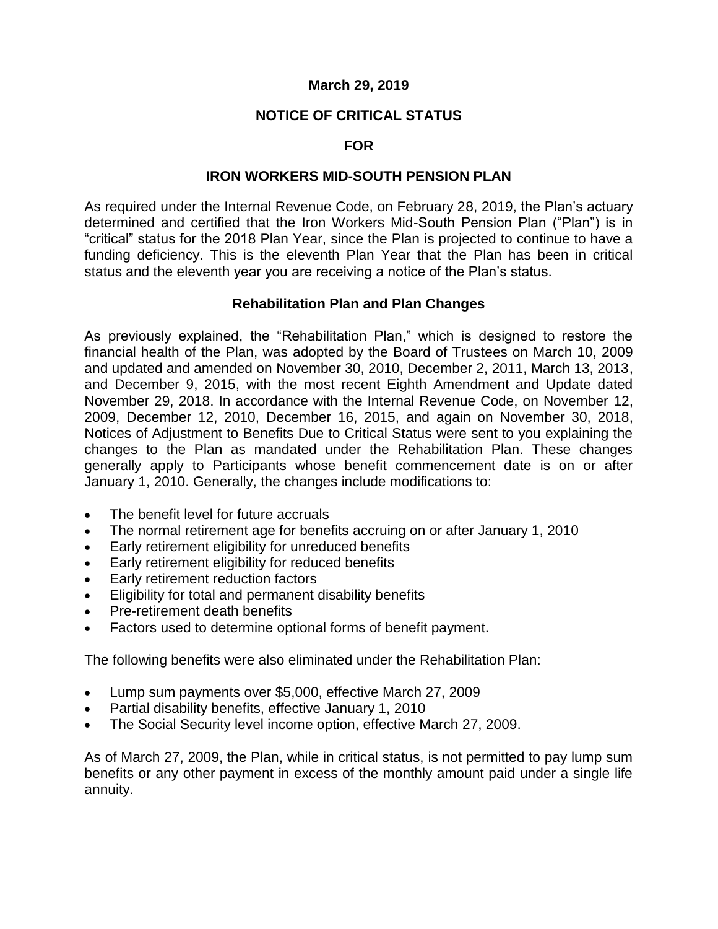### **March 29, 2019**

## **NOTICE OF CRITICAL STATUS**

### **FOR**

#### **IRON WORKERS MID-SOUTH PENSION PLAN**

As required under the Internal Revenue Code, on February 28, 2019, the Plan's actuary determined and certified that the Iron Workers Mid-South Pension Plan ("Plan") is in "critical" status for the 2018 Plan Year, since the Plan is projected to continue to have a funding deficiency. This is the eleventh Plan Year that the Plan has been in critical status and the eleventh year you are receiving a notice of the Plan's status.

## **Rehabilitation Plan and Plan Changes**

As previously explained, the "Rehabilitation Plan," which is designed to restore the financial health of the Plan, was adopted by the Board of Trustees on March 10, 2009 and updated and amended on November 30, 2010, December 2, 2011, March 13, 2013, and December 9, 2015, with the most recent Eighth Amendment and Update dated November 29, 2018. In accordance with the Internal Revenue Code, on November 12, 2009, December 12, 2010, December 16, 2015, and again on November 30, 2018, Notices of Adjustment to Benefits Due to Critical Status were sent to you explaining the changes to the Plan as mandated under the Rehabilitation Plan. These changes generally apply to Participants whose benefit commencement date is on or after January 1, 2010. Generally, the changes include modifications to:

- The benefit level for future accruals
- The normal retirement age for benefits accruing on or after January 1, 2010
- **Early retirement eligibility for unreduced benefits**
- Early retirement eligibility for reduced benefits
- Early retirement reduction factors
- Eligibility for total and permanent disability benefits
- Pre-retirement death benefits
- Factors used to determine optional forms of benefit payment.

The following benefits were also eliminated under the Rehabilitation Plan:

- Lump sum payments over \$5,000, effective March 27, 2009
- Partial disability benefits, effective January 1, 2010
- The Social Security level income option, effective March 27, 2009.

As of March 27, 2009, the Plan, while in critical status, is not permitted to pay lump sum benefits or any other payment in excess of the monthly amount paid under a single life annuity.